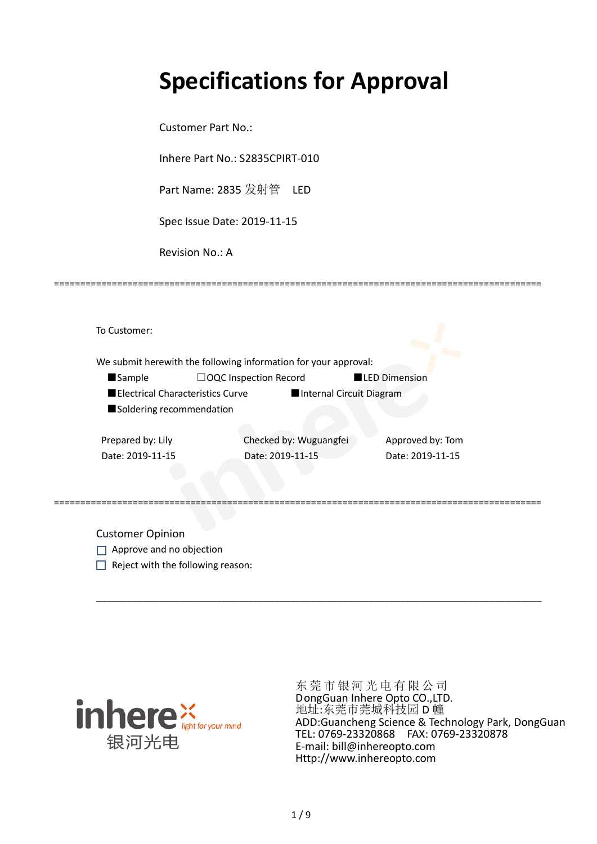# **Specifications for Approval**

=============================================================================================

Customer Part No.:

Inhere Part No.: S2835CPIRT-010

Part Name: 2835 发射管 LED

Spec Issue Date: 2019-11-15

Revision No.: A

|                   |                                  | We submit herewith the following information for your approval: |                          |                  |
|-------------------|----------------------------------|-----------------------------------------------------------------|--------------------------|------------------|
| <b>Sample</b>     | $\Box$ OQC Inspection Record     |                                                                 | <b>LED Dimension</b>     |                  |
|                   | Electrical Characteristics Curve |                                                                 | Internal Circuit Diagram |                  |
|                   | Soldering recommendation         |                                                                 |                          |                  |
|                   |                                  |                                                                 |                          |                  |
| Prepared by: Lily |                                  | Checked by: Wuguangfei                                          |                          | Approved by: Tom |

Customer Opinion

- Approve and no objection
- $\Box$  Reject with the following reason:



东莞市银河光电有限公司 DongGuan Inhere Opto CO.,LTD. 地址:东莞市莞城科技园 D 幢 ADD:Guancheng Science & Technology Park, DongGuan TEL: 0769-23320868 FAX: 0769-23320878 E-mail: bill@inhereopto.com Http://www.inhereopto.com

\_\_\_\_\_\_\_\_\_\_\_\_\_\_\_\_\_\_\_\_\_\_\_\_\_\_\_\_\_\_\_\_\_\_\_\_\_\_\_\_\_\_\_\_\_\_\_\_\_\_\_\_\_\_\_\_\_\_\_\_\_\_\_\_\_\_\_\_\_\_\_\_\_\_\_\_\_\_\_\_\_\_\_\_\_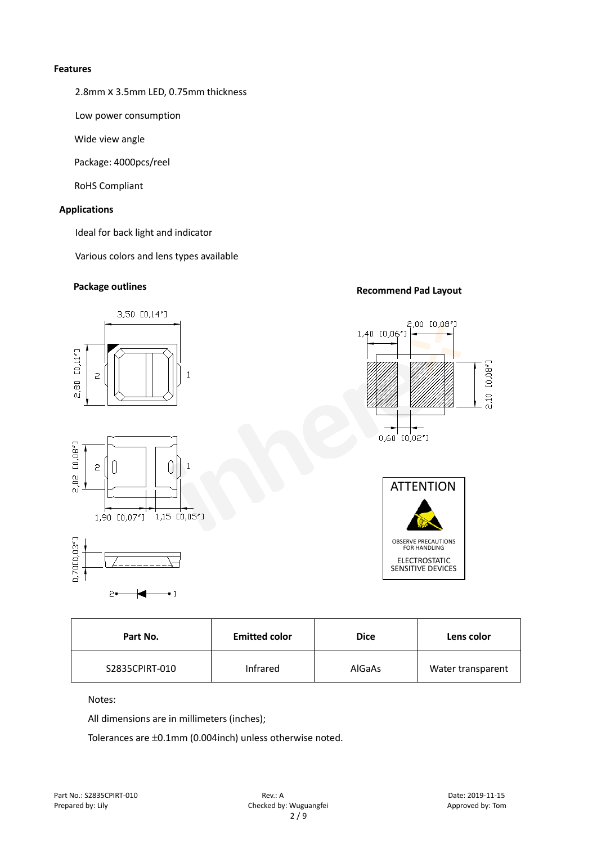#### **Features**

2.8mm x 3.5mm LED, 0.75mm thickness

Low power consumption

Wide view angle

Package: 4000pcs/reel

RoHS Compliant

#### **Applications**

Ideal for back light and indicator

Various colors and lens types available

# **Package outlines Recommend Pad Layout**



| Part No.       | <b>Emitted color</b> | <b>Dice</b> | Lens color        |
|----------------|----------------------|-------------|-------------------|
| S2835CPIRT-010 | Infrared             | AlGaAs      | Water transparent |

Notes:

All dimensions are in millimeters (inches);

Tolerances are ±0.1mm (0.004inch) unless otherwise noted.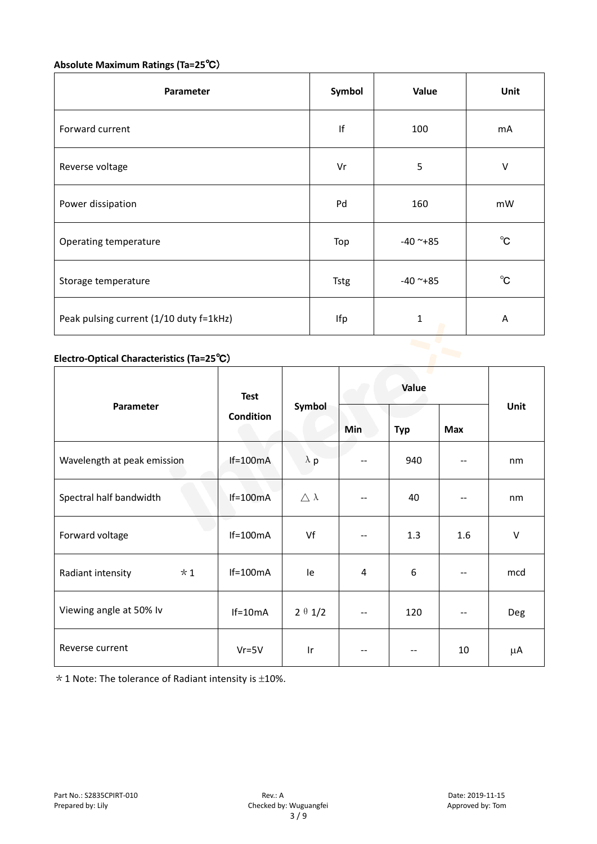## **Absolute Maximum Ratings (Ta=25**℃)

| Parameter                               | Symbol      | Value         | Unit         |
|-----------------------------------------|-------------|---------------|--------------|
| Forward current                         | If          | 100           | mA           |
| Reverse voltage                         | Vr          | 5             | $\vee$       |
| Power dissipation                       | Pd          | 160           | mW           |
| Operating temperature                   | Top         | $-40$ ~+85    | $^{\circ}$ C |
| Storage temperature                     | <b>Tstg</b> | $-40$ ~ $+85$ | $^{\circ}$ C |
| Peak pulsing current (1/10 duty f=1kHz) | Ifp         | $\mathbf 1$   | A            |
|                                         |             |               |              |

# **Electro-Optical Characteristics (Ta=25**℃)

|                             | <b>Test</b><br><b>Condition</b> | Symbol              | Value          |            |            |             |
|-----------------------------|---------------------------------|---------------------|----------------|------------|------------|-------------|
| Parameter                   |                                 |                     | <b>Min</b>     | <b>Typ</b> | <b>Max</b> | <b>Unit</b> |
| Wavelength at peak emission | $If=100mA$                      | $\lambda$ p         |                | 940        |            | nm          |
| Spectral half bandwidth     | $If=100mA$                      | $\triangle \lambda$ | --             | 40         | --         | nm          |
| Forward voltage             | $If=100mA$                      | Vf                  | $-$            | 1.3        | 1.6        | $\vee$      |
| $*1$<br>Radiant intensity   | $If=100mA$                      | le                  | $\overline{4}$ | 6          |            | mcd         |
| Viewing angle at 50% lv     | $If=10mA$                       | $2 \theta 1/2$      | --             | 120        |            | Deg         |
| Reverse current             | $Vr = 5V$                       | Ir                  | --             | $-$        | 10         | μA          |

 $*$  1 Note: The tolerance of Radiant intensity is  $\pm$ 10%.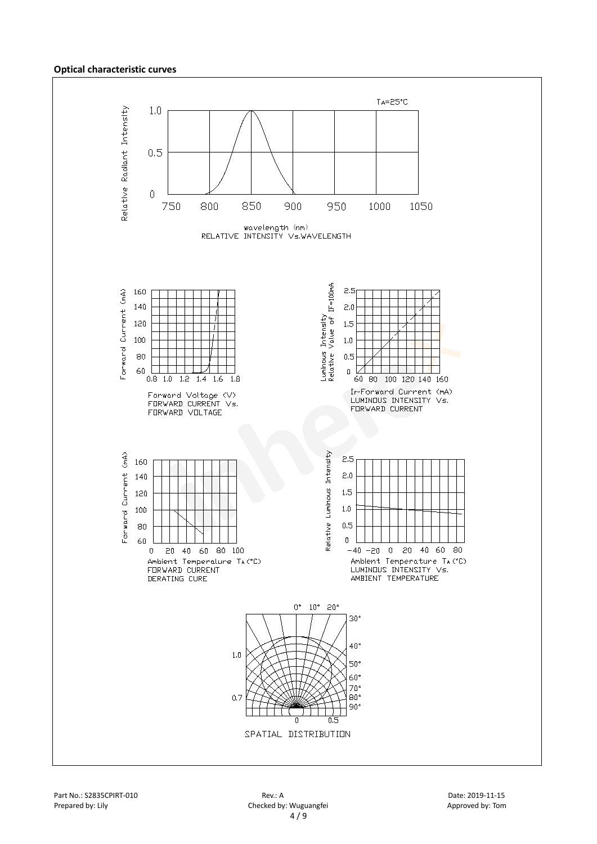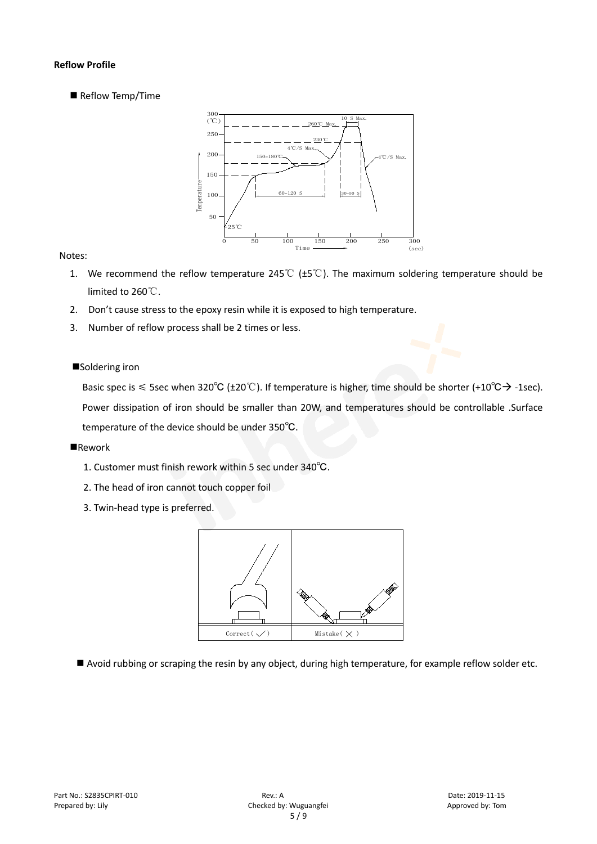#### **Reflow Profile**

Reflow Temp/Time



#### Notes:

- 1. We recommend the reflow temperature 245℃ (±5℃). The maximum soldering temperature should be limited to 260℃.
- 2. Don't cause stress to the epoxy resin while it is exposed to high temperature.
- 3. Number of reflow process shall be 2 times or less.

#### ■Soldering iron

Basic spec is  $\leq$  5sec when 320°C (±20°C). If temperature is higher, time should be shorter (+10°C $\rightarrow$  -1sec). Power dissipation of iron should be smaller than 20W, and temperatures should be controllable .Surface temperature of the device should be under 350℃.

#### **Rework**

- 1. Customer must finish rework within 5 sec under 340℃.
- 2. The head of iron cannot touch copper foil
- 3. Twin-head type is preferred.



Avoid rubbing or scraping the resin by any object, during high temperature, for example reflow solder etc.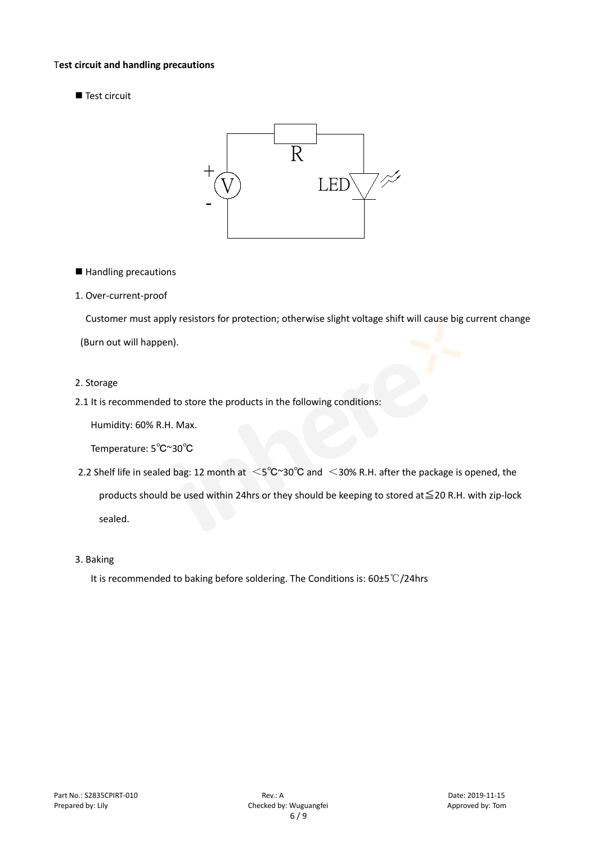#### T**est circuit and handling precautions**

■ Test circuit



■ Handling precautions

#### 1. Over-current-proof

Customer must apply resistors for protection; otherwise slight voltage shift will cause big current change (Burn out will happen).

#### 2. Storage

#### 2.1 It is recommended to store the products in the following conditions:

Humidity: 60% R.H. Max.

Temperature: 5℃~30℃

- 2.2 Shelf life in sealed bag: 12 month at <5℃~30°C and <30% R.H. after the package is opened, the products should be used within 24hrs or they should be keeping to stored at≦20 R.H. with zip-lock sealed.
- 3. Baking

It is recommended to baking before soldering. The Conditions is: 60±5℃/24hrs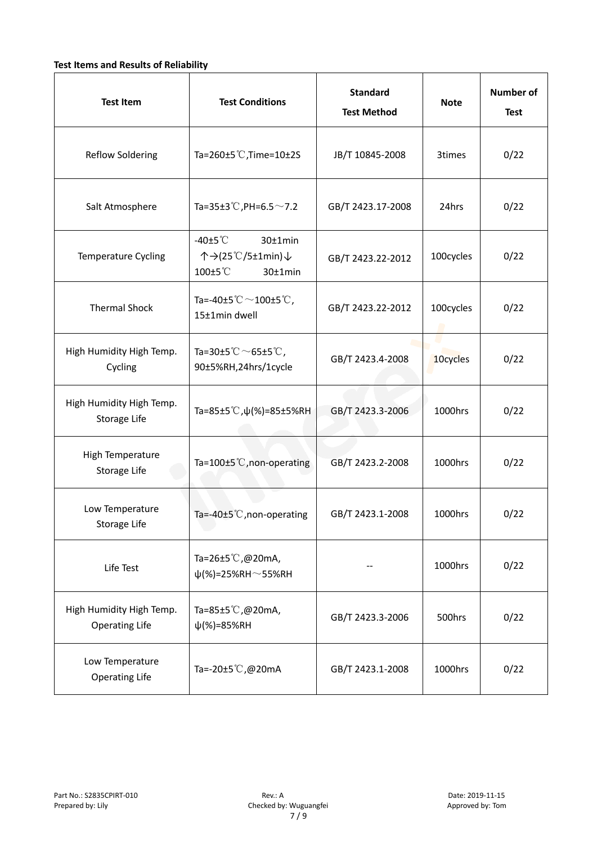### **Test Items and Results of Reliability**

| <b>Test Item</b>                                  | <b>Test Conditions</b>                                                         | <b>Standard</b><br><b>Test Method</b> | <b>Note</b> | <b>Number of</b><br><b>Test</b> |
|---------------------------------------------------|--------------------------------------------------------------------------------|---------------------------------------|-------------|---------------------------------|
| <b>Reflow Soldering</b>                           | Ta=260±5 °C, Time=10±2S                                                        | JB/T 10845-2008                       | 3times      | 0/22                            |
| Salt Atmosphere                                   | Ta=35±3°C, PH=6.5 $\sim$ 7.2                                                   | GB/T 2423.17-2008                     | 24hrs       | 0/22                            |
| Temperature Cycling                               | -40 $\pm$ 5 $\degree$ C<br>30±1min<br>个→(25℃/5±1min)↓<br>100±5°C<br>$30±1$ min | GB/T 2423.22-2012                     | 100cycles   | 0/22                            |
| <b>Thermal Shock</b>                              | Ta=-40±5 $^\circ\text{C}$ $\sim$ 100±5 $^\circ\text{C}$ ,<br>15±1min dwell     | GB/T 2423.22-2012                     | 100cycles   | 0/22                            |
| High Humidity High Temp.<br>Cycling               | Ta=30±5 °C $\sim$ 65±5 °C,<br>90±5%RH,24hrs/1cycle                             | GB/T 2423.4-2008                      | 10cycles    | 0/22                            |
| High Humidity High Temp.<br>Storage Life          | Ta=85±5 <sup>°</sup> C, $\psi$ (%)=85±5%RH                                     | GB/T 2423.3-2006                      | 1000hrs     | 0/22                            |
| High Temperature<br>Storage Life                  | Ta=100 $\pm$ 5°C, non-operating                                                | GB/T 2423.2-2008                      | 1000hrs     | 0/22                            |
| Low Temperature<br>Storage Life                   | Ta=-40±5 $°C$ , non-operating                                                  | GB/T 2423.1-2008                      | 1000hrs     | 0/22                            |
| Life Test                                         | Ta=26±5℃,@20mA,<br>$\psi$ (%)=25%RH~55%RH                                      |                                       | 1000hrs     | 0/22                            |
| High Humidity High Temp.<br><b>Operating Life</b> | Ta=85±5℃,@20mA,<br>$\psi$ (%)=85%RH                                            | GB/T 2423.3-2006                      | 500hrs      | 0/22                            |
| Low Temperature<br><b>Operating Life</b>          | Ta=-20±5℃,@20mA                                                                | GB/T 2423.1-2008                      | 1000hrs     | 0/22                            |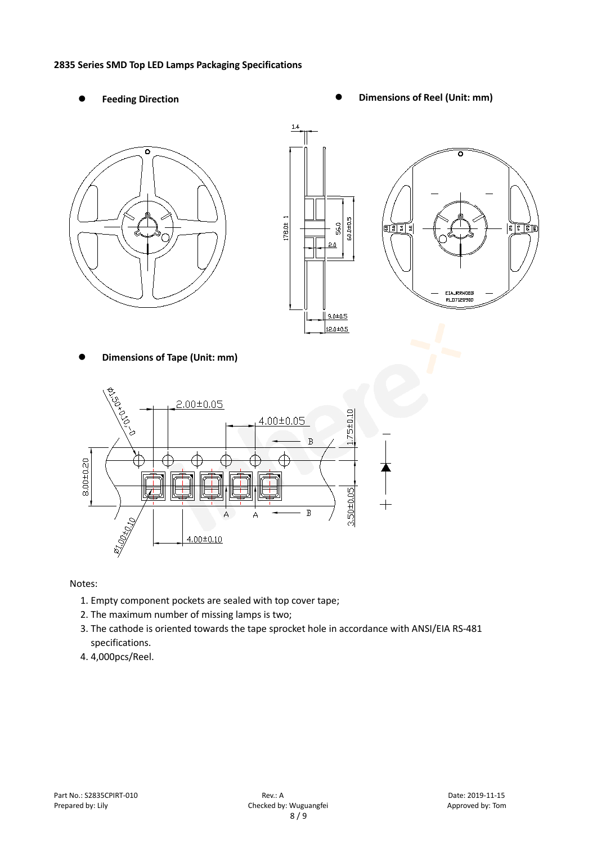#### **2835 Series SMD Top LED Lamps Packaging Specifications**

- 
- Feeding Direction **Constanting Constanting Constanting Constanting Constanting Constanting Constanting Constanting Constanting Constanting Constanting Constanting Constanting Constanting Constanting Constanting Constanting**







**Dimensions of Tape (Unit: mm)**



Notes:

- 1. Empty component pockets are sealed with top cover tape;
- 2. The maximum number of missing lamps is two;
- 3. The cathode is oriented towards the tape sprocket hole in accordance with ANSI/EIA RS-481 specifications.
- 4. 4,000pcs/Reel.